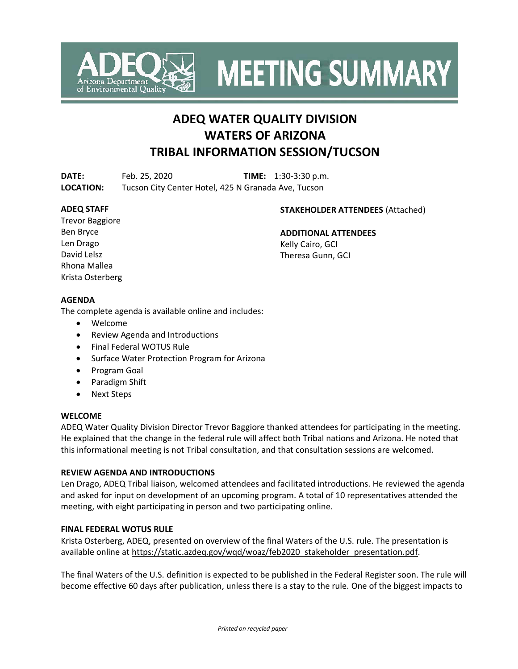

**MEETING SUMMARY** 

# **ADEQ WATER QUALITY DIVISION WATERS OF ARIZONA TRIBAL INFORMATION SESSION/TUCSON**

**DATE:** Feb. 25, 2020 **TIME:** 1:30-3:30 p.m. **LOCATION:** Tucson City Center Hotel, 425 N Granada Ave, Tucson

### **ADEQ STAFF**

### **STAKEHOLDER ATTENDEES** (Attached)

Trevor Baggiore Ben Bryce Len Drago David Lelsz Rhona Mallea Krista Osterberg

**ADDITIONAL ATTENDEES** Kelly Cairo, GCI Theresa Gunn, GCI

## **AGENDA**

The complete agenda is available online and includes:

- Welcome
- Review Agenda and Introductions
- Final Federal WOTUS Rule
- Surface Water Protection Program for Arizona
- Program Goal
- Paradigm Shift
- Next Steps

### **WELCOME**

ADEQ Water Quality Division Director Trevor Baggiore thanked attendees for participating in the meeting. He explained that the change in the federal rule will affect both Tribal nations and Arizona. He noted that this informational meeting is not Tribal consultation, and that consultation sessions are welcomed.

### **REVIEW AGENDA AND INTRODUCTIONS**

Len Drago, ADEQ Tribal liaison, welcomed attendees and facilitated introductions. He reviewed the agenda and asked for input on development of an upcoming program. A total of 10 representatives attended the meeting, with eight participating in person and two participating online.

### **FINAL FEDERAL WOTUS RULE**

Krista Osterberg, ADEQ, presented on overview of the final Waters of the U.S. rule. The presentation is available online at [https://static.azdeq.gov/wqd/woaz/feb2020\\_stakeholder\\_presentation.pdf.](https://static.azdeq.gov/wqd/woaz/feb2020_stakeholder_presentation.pdf)

The final Waters of the U.S. definition is expected to be published in the Federal Register soon. The rule will become effective 60 days after publication, unless there is a stay to the rule. One of the biggest impacts to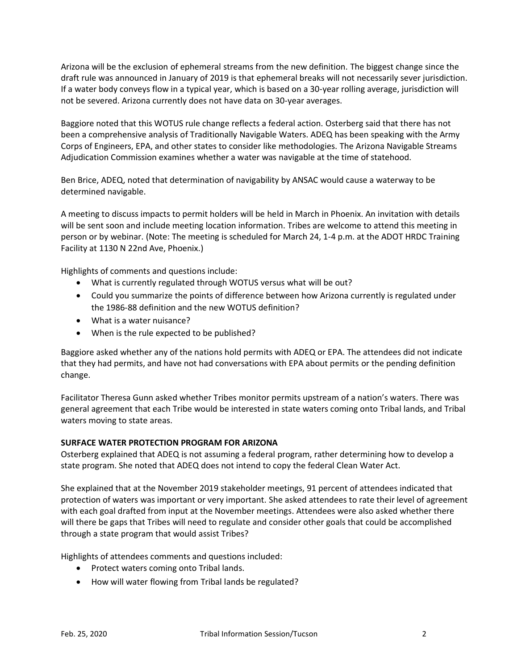Arizona will be the exclusion of ephemeral streams from the new definition. The biggest change since the draft rule was announced in January of 2019 is that ephemeral breaks will not necessarily sever jurisdiction. If a water body conveys flow in a typical year, which is based on a 30-year rolling average, jurisdiction will not be severed. Arizona currently does not have data on 30-year averages.

Baggiore noted that this WOTUS rule change reflects a federal action. Osterberg said that there has not been a comprehensive analysis of Traditionally Navigable Waters. ADEQ has been speaking with the Army Corps of Engineers, EPA, and other states to consider like methodologies. The Arizona Navigable Streams Adjudication Commission examines whether a water was navigable at the time of statehood.

Ben Brice, ADEQ, noted that determination of navigability by ANSAC would cause a waterway to be determined navigable.

A meeting to discuss impacts to permit holders will be held in March in Phoenix. An invitation with details will be sent soon and include meeting location information. Tribes are welcome to attend this meeting in person or by webinar. (Note: The meeting is scheduled for March 24, 1-4 p.m. at the ADOT HRDC Training Facility at 1130 N 22nd Ave, Phoenix.)

Highlights of comments and questions include:

- What is currently regulated through WOTUS versus what will be out?
- Could you summarize the points of difference between how Arizona currently is regulated under the 1986-88 definition and the new WOTUS definition?
- What is a water nuisance?
- When is the rule expected to be published?

Baggiore asked whether any of the nations hold permits with ADEQ or EPA. The attendees did not indicate that they had permits, and have not had conversations with EPA about permits or the pending definition change.

Facilitator Theresa Gunn asked whether Tribes monitor permits upstream of a nation's waters. There was general agreement that each Tribe would be interested in state waters coming onto Tribal lands, and Tribal waters moving to state areas.

### **SURFACE WATER PROTECTION PROGRAM FOR ARIZONA**

Osterberg explained that ADEQ is not assuming a federal program, rather determining how to develop a state program. She noted that ADEQ does not intend to copy the federal Clean Water Act.

She explained that at the November 2019 stakeholder meetings, 91 percent of attendees indicated that protection of waters was important or very important. She asked attendees to rate their level of agreement with each goal drafted from input at the November meetings. Attendees were also asked whether there will there be gaps that Tribes will need to regulate and consider other goals that could be accomplished through a state program that would assist Tribes?

Highlights of attendees comments and questions included:

- Protect waters coming onto Tribal lands.
- How will water flowing from Tribal lands be regulated?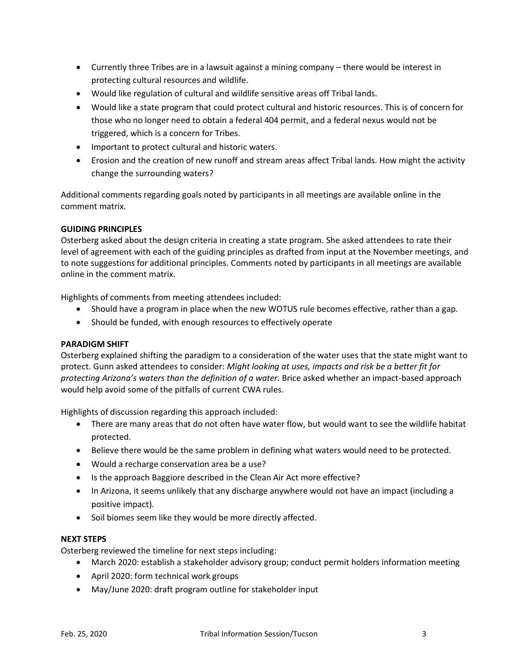- Currently three Tribes are in a lawsuit against a mining company there would be interest in protecting cultural resources and wildlife.
- Would like regulation of cultural and wildlife sensitive areas off Tribal lands.
- Would like a state program that could protect cultural and historic resources. This is of concern for those who no longer need to obtain a federal 404 permit, and a federal nexus would not be triggered, which is a concern for Tribes.
- Important to protect cultural and historic waters.
- Erosion and the creation of new runoff and stream areas affect Tribal lands. How might the activity change the surrounding waters?

Additional comments regarding goals noted by participants in all meetings are available online in the comment matrix.

### **GUIDING PRINCIPLES**

Osterberg asked about the design criteria in creating a state program. She asked attendees to rate their level of agreement with each of the guiding principles as drafted from input at the November meetings, and to note suggestions for additional principles. Comments noted by participants in all meetings are available online in the comment matrix.

Highlights of comments from meeting attendees included:

- Should have a program in place when the new WOTUS rule becomes effective, rather than a gap.
- Should be funded, with enough resources to effectively operate

#### **PARADIGM SHIFT**

Osterberg explained shifting the paradigm to a consideration of the water uses that the state might want to protect. Gunn asked attendees to consider: *Might looking at uses, impacts and risk be a better fit for protecting Arizona's waters than the definition of a water.* Brice asked whether an impact-based approach would help avoid some of the pitfalls of current CWA rules.

Highlights of discussion regarding this approach included:

- There are many areas that do not often have water flow, but would want to see the wildlife habitat protected.
- Believe there would be the same problem in defining what waters would need to be protected.
- Would a recharge conservation area be a use?
- Is the approach Baggiore described in the Clean Air Act more effective?
- In Arizona, it seems unlikely that any discharge anywhere would not have an impact (including a positive impact).
- Soil biomes seem like they would be more directly affected.

#### **NEXT STEPS**

Osterberg reviewed the timeline for next steps including:

- March 2020: establish a stakeholder advisory group; conduct permit holders information meeting
- April 2020: form technical work groups
- May/June 2020: draft program outline for stakeholder input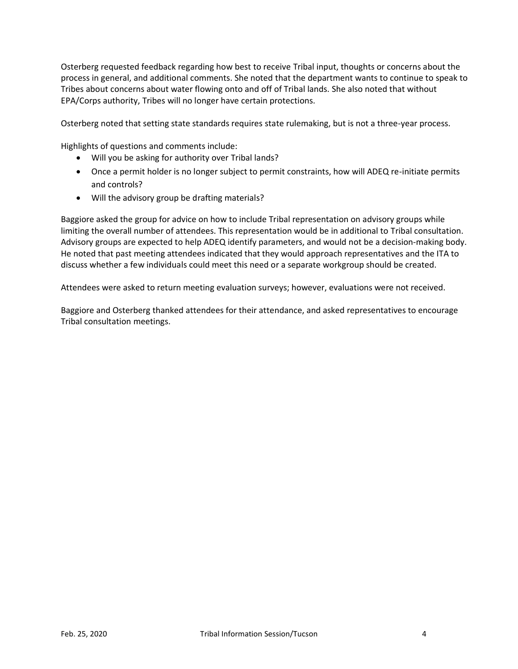Osterberg requested feedback regarding how best to receive Tribal input, thoughts or concerns about the process in general, and additional comments. She noted that the department wants to continue to speak to Tribes about concerns about water flowing onto and off of Tribal lands. She also noted that without EPA/Corps authority, Tribes will no longer have certain protections.

Osterberg noted that setting state standards requires state rulemaking, but is not a three-year process.

Highlights of questions and comments include:

- Will you be asking for authority over Tribal lands?
- Once a permit holder is no longer subject to permit constraints, how will ADEQ re-initiate permits and controls?
- Will the advisory group be drafting materials?

Baggiore asked the group for advice on how to include Tribal representation on advisory groups while limiting the overall number of attendees. This representation would be in additional to Tribal consultation. Advisory groups are expected to help ADEQ identify parameters, and would not be a decision-making body. He noted that past meeting attendees indicated that they would approach representatives and the ITA to discuss whether a few individuals could meet this need or a separate workgroup should be created.

Attendees were asked to return meeting evaluation surveys; however, evaluations were not received.

Baggiore and Osterberg thanked attendees for their attendance, and asked representatives to encourage Tribal consultation meetings.